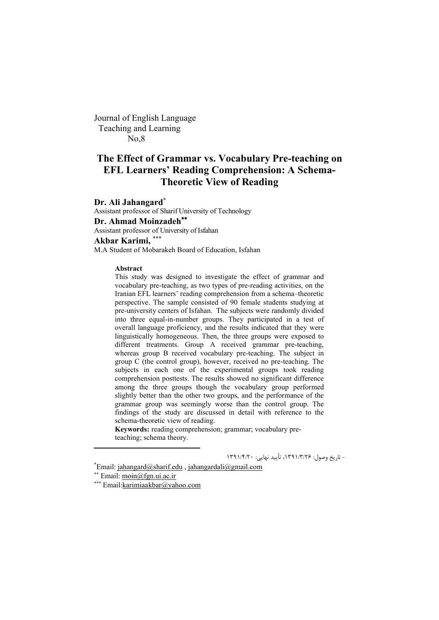Journal of English Language Teaching and Learning No,8

# **The Effect of Grammar vs. Vocabulary Pre-teaching on EFL Learners' Reading Comprehension: A Schema-Theoretic View of Reading**

**Dr. Ali Jahangard<sup>\*</sup>**<br>Assistant professor of Sharif University of Technology **Dr. Ahmad Moinzadeh** Assistant professor of University of Isfahan **Akbar Karimi,**  M.A Student of Mobarakeh Board of Education, Isfahan

#### **Abstract**

This study was designed to investigate the effect of grammar and vocabulary pre-teaching, as two types of pre-reading activities, on the Iranian EFL learners' reading comprehension from a schema–theoretic perspective. The sample consisted of 90 female students studying at pre-university centers of Isfahan. The subjects were randomly divided into three equal-in-number groups. They participated in a test of overall language proficiency, and the results indicated that they were linguistically homogeneous. Then, the three groups were exposed to different treatments. Group A received grammar pre-teaching, whereas group B received vocabulary pre-teaching. The subject in group C (the control group), however, received no pre-teaching. The subjects in each one of the experimental groups took reading comprehension posttests. The results showed no significant difference among the three groups though the vocabulary group performed slightly better than the other two groups, and the performance of the grammar group was seemingly worse than the control group. The findings of the study are discussed in detail with reference to the schema-theoretic view of reading.

**Keywords:** reading comprehension; grammar; vocabulary preteaching; schema theory.

\* - تاریخ وصول: 26 /3/ ،1391 تأیید نهایی: 20 /4/ <sup>1391</sup>

 $E$ mail: jahangard@sharif.edu, jahangardali@gmail.com

<sup>\*\*</sup> Email:  $\text{moin}(\widehat{\omega}$ fgn.ui.ac.ir

Email:karimiaakbar@yahoo.com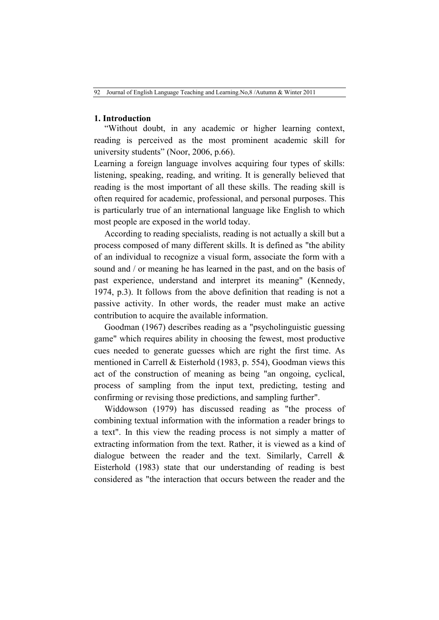### **1. Introduction**

"Without doubt, in any academic or higher learning context, reading is perceived as the most prominent academic skill for university students" (Noor, 2006, p.66).

Learning a foreign language involves acquiring four types of skills: listening, speaking, reading, and writing. It is generally believed that reading is the most important of all these skills. The reading skill is often required for academic, professional, and personal purposes. This is particularly true of an international language like English to which most people are exposed in the world today.

According to reading specialists, reading is not actually a skill but a process composed of many different skills. It is defined as "the ability of an individual to recognize a visual form, associate the form with a sound and / or meaning he has learned in the past, and on the basis of past experience, understand and interpret its meaning" (Kennedy, 1974, p.3). It follows from the above definition that reading is not a passive activity. In other words, the reader must make an active contribution to acquire the available information.

Goodman (1967) describes reading as a "psycholinguistic guessing game" which requires ability in choosing the fewest, most productive cues needed to generate guesses which are right the first time. As mentioned in Carrell & Eisterhold (1983, p. 554), Goodman views this act of the construction of meaning as being "an ongoing, cyclical, process of sampling from the input text, predicting, testing and confirming or revising those predictions, and sampling further".

Widdowson (1979) has discussed reading as "the process of combining textual information with the information a reader brings to a text". In this view the reading process is not simply a matter of extracting information from the text. Rather, it is viewed as a kind of dialogue between the reader and the text. Similarly, Carrell & Eisterhold (1983) state that our understanding of reading is best considered as "the interaction that occurs between the reader and the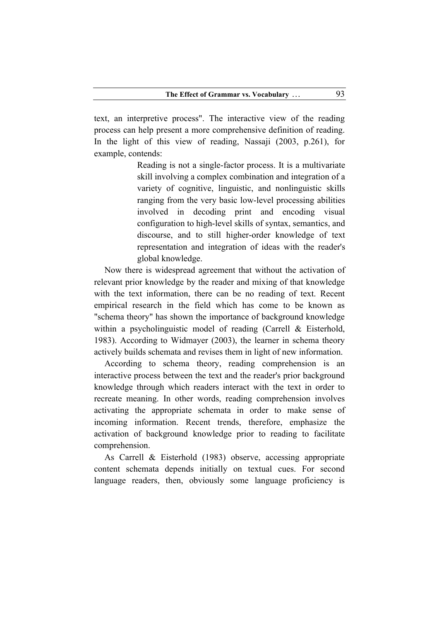text, an interpretive process". The interactive view of the reading process can help present a more comprehensive definition of reading. In the light of this view of reading, Nassaji (2003, p.261), for example, contends:

> Reading is not a single-factor process. It is a multivariate skill involving a complex combination and integration of a variety of cognitive, linguistic, and nonlinguistic skills ranging from the very basic low-level processing abilities involved in decoding print and encoding visual configuration to high-level skills of syntax, semantics, and discourse, and to still higher-order knowledge of text representation and integration of ideas with the reader's global knowledge.

Now there is widespread agreement that without the activation of relevant prior knowledge by the reader and mixing of that knowledge with the text information, there can be no reading of text. Recent empirical research in the field which has come to be known as "schema theory" has shown the importance of background knowledge within a psycholinguistic model of reading (Carrell & Eisterhold, 1983). According to Widmayer (2003), the learner in schema theory actively builds schemata and revises them in light of new information.

According to schema theory, reading comprehension is an interactive process between the text and the reader's prior background knowledge through which readers interact with the text in order to recreate meaning. In other words, reading comprehension involves activating the appropriate schemata in order to make sense of incoming information. Recent trends, therefore, emphasize the activation of background knowledge prior to reading to facilitate comprehension.

As Carrell & Eisterhold (1983) observe, accessing appropriate content schemata depends initially on textual cues. For second language readers, then, obviously some language proficiency is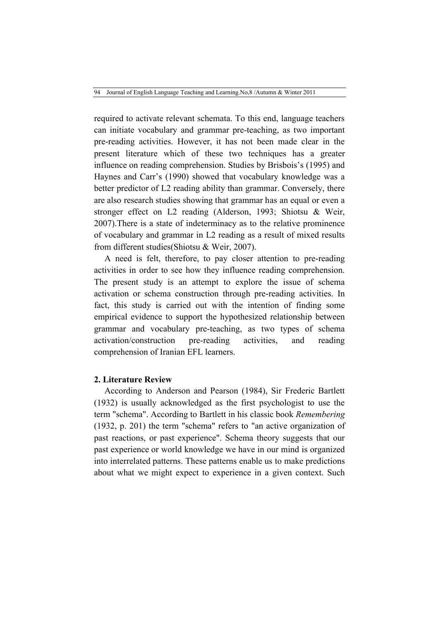required to activate relevant schemata. To this end, language teachers can initiate vocabulary and grammar pre-teaching, as two important pre-reading activities. However, it has not been made clear in the present literature which of these two techniques has a greater influence on reading comprehension. Studies by Brisbois's (1995) and Haynes and Carr's (1990) showed that vocabulary knowledge was a better predictor of L2 reading ability than grammar. Conversely, there are also research studies showing that grammar has an equal or even a stronger effect on L2 reading (Alderson, 1993; Shiotsu & Weir, 2007).There is a state of indeterminacy as to the relative prominence of vocabulary and grammar in L2 reading as a result of mixed results from different studies(Shiotsu & Weir, 2007).

A need is felt, therefore, to pay closer attention to pre-reading activities in order to see how they influence reading comprehension. The present study is an attempt to explore the issue of schema activation or schema construction through pre-reading activities. In fact, this study is carried out with the intention of finding some empirical evidence to support the hypothesized relationship between grammar and vocabulary pre-teaching, as two types of schema activation/construction pre-reading activities, and reading comprehension of Iranian EFL learners.

### **2. Literature Review**

According to Anderson and Pearson (1984), Sir Frederic Bartlett (1932) is usually acknowledged as the first psychologist to use the term "schema". According to Bartlett in his classic book *Remembering* (1932, p. 201) the term "schema" refers to "an active organization of past reactions, or past experience". Schema theory suggests that our past experience or world knowledge we have in our mind is organized into interrelated patterns. These patterns enable us to make predictions about what we might expect to experience in a given context. Such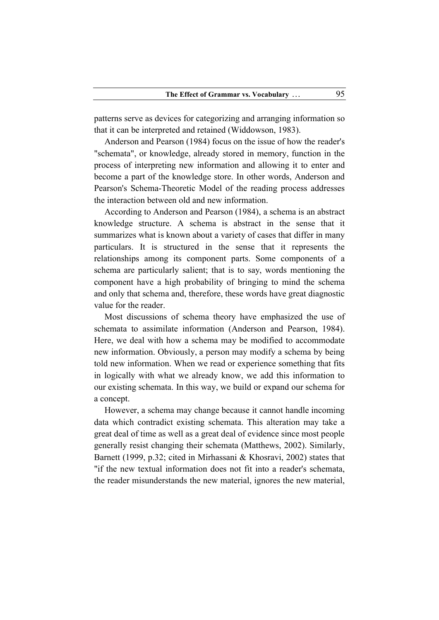patterns serve as devices for categorizing and arranging information so that it can be interpreted and retained (Widdowson, 1983).

Anderson and Pearson (1984) focus on the issue of how the reader's "schemata", or knowledge, already stored in memory, function in the process of interpreting new information and allowing it to enter and become a part of the knowledge store. In other words, Anderson and Pearson's Schema-Theoretic Model of the reading process addresses the interaction between old and new information.

According to Anderson and Pearson (1984), a schema is an abstract knowledge structure. A schema is abstract in the sense that it summarizes what is known about a variety of cases that differ in many particulars. It is structured in the sense that it represents the relationships among its component parts. Some components of a schema are particularly salient; that is to say, words mentioning the component have a high probability of bringing to mind the schema and only that schema and, therefore, these words have great diagnostic value for the reader.

Most discussions of schema theory have emphasized the use of schemata to assimilate information (Anderson and Pearson, 1984). Here, we deal with how a schema may be modified to accommodate new information. Obviously, a person may modify a schema by being told new information. When we read or experience something that fits in logically with what we already know, we add this information to our existing schemata. In this way, we build or expand our schema for a concept.

However, a schema may change because it cannot handle incoming data which contradict existing schemata. This alteration may take a great deal of time as well as a great deal of evidence since most people generally resist changing their schemata (Matthews, 2002). Similarly, Barnett (1999, p.32; cited in Mirhassani & Khosravi, 2002) states that "if the new textual information does not fit into a reader's schemata, the reader misunderstands the new material, ignores the new material,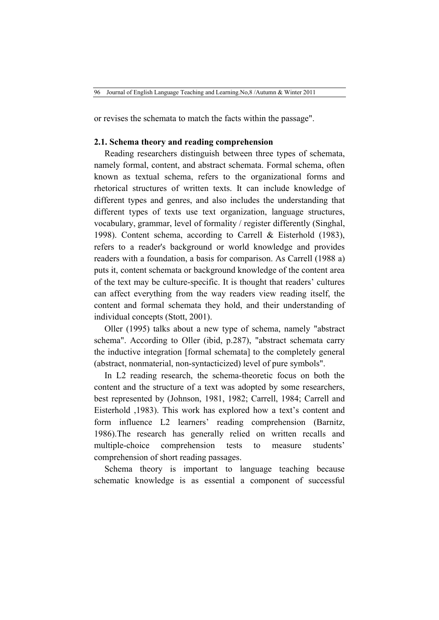or revises the schemata to match the facts within the passage".

### **2.1. Schema theory and reading comprehension**

Reading researchers distinguish between three types of schemata, namely formal, content, and abstract schemata. Formal schema, often known as textual schema, refers to the organizational forms and rhetorical structures of written texts. It can include knowledge of different types and genres, and also includes the understanding that different types of texts use text organization, language structures, vocabulary, grammar, level of formality / register differently (Singhal, 1998). Content schema, according to Carrell & Eisterhold (1983), refers to a reader's background or world knowledge and provides readers with a foundation, a basis for comparison. As Carrell (1988 a) puts it, content schemata or background knowledge of the content area of the text may be culture-specific. It is thought that readers' cultures can affect everything from the way readers view reading itself, the content and formal schemata they hold, and their understanding of individual concepts (Stott, 2001).

Oller (1995) talks about a new type of schema, namely "abstract schema". According to Oller (ibid, p.287), "abstract schemata carry the inductive integration [formal schemata] to the completely general (abstract, nonmaterial, non-syntacticized) level of pure symbols".

In L2 reading research, the schema-theoretic focus on both the content and the structure of a text was adopted by some researchers, best represented by (Johnson, 1981, 1982; Carrell, 1984; Carrell and Eisterhold ,1983). This work has explored how a text's content and form influence L2 learners' reading comprehension (Barnitz, 1986).The research has generally relied on written recalls and multiple-choice comprehension tests to measure students' comprehension of short reading passages.

Schema theory is important to language teaching because schematic knowledge is as essential a component of successful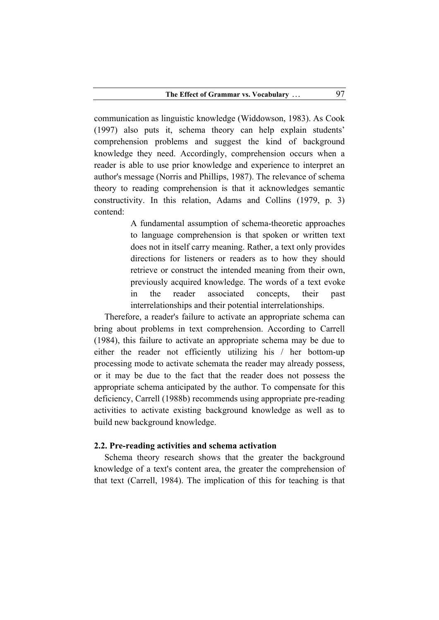communication as linguistic knowledge (Widdowson, 1983). As Cook (1997) also puts it, schema theory can help explain students' comprehension problems and suggest the kind of background knowledge they need. Accordingly, comprehension occurs when a reader is able to use prior knowledge and experience to interpret an author's message (Norris and Phillips, 1987). The relevance of schema theory to reading comprehension is that it acknowledges semantic constructivity. In this relation, Adams and Collins (1979, p. 3) contend:

> A fundamental assumption of schema-theoretic approaches to language comprehension is that spoken or written text does not in itself carry meaning. Rather, a text only provides directions for listeners or readers as to how they should retrieve or construct the intended meaning from their own, previously acquired knowledge. The words of a text evoke in the reader associated concepts, their past interrelationships and their potential interrelationships.

Therefore, a reader's failure to activate an appropriate schema can bring about problems in text comprehension. According to Carrell (1984), this failure to activate an appropriate schema may be due to either the reader not efficiently utilizing his / her bottom-up processing mode to activate schemata the reader may already possess, or it may be due to the fact that the reader does not possess the appropriate schema anticipated by the author. To compensate for this deficiency, Carrell (1988b) recommends using appropriate pre-reading activities to activate existing background knowledge as well as to build new background knowledge.

#### **2.2. Pre-reading activities and schema activation**

Schema theory research shows that the greater the background knowledge of a text's content area, the greater the comprehension of that text (Carrell, 1984). The implication of this for teaching is that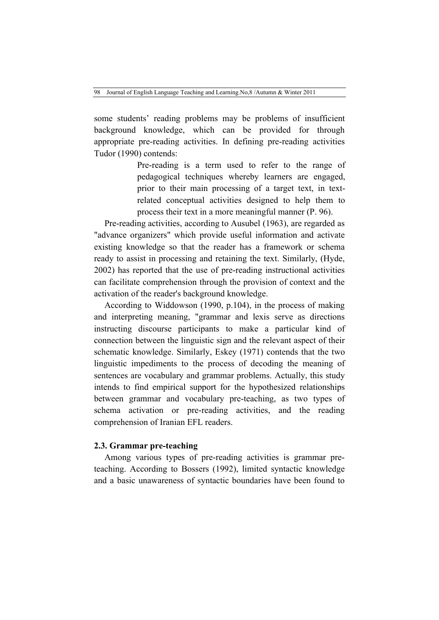some students' reading problems may be problems of insufficient background knowledge, which can be provided for through appropriate pre-reading activities. In defining pre-reading activities Tudor (1990) contends:

> Pre-reading is a term used to refer to the range of pedagogical techniques whereby learners are engaged, prior to their main processing of a target text, in textrelated conceptual activities designed to help them to process their text in a more meaningful manner (P. 96).

Pre-reading activities, according to Ausubel (1963), are regarded as "advance organizers" which provide useful information and activate existing knowledge so that the reader has a framework or schema ready to assist in processing and retaining the text. Similarly, (Hyde, 2002) has reported that the use of pre-reading instructional activities can facilitate comprehension through the provision of context and the activation of the reader's background knowledge.

According to Widdowson (1990, p.104), in the process of making and interpreting meaning, "grammar and lexis serve as directions instructing discourse participants to make a particular kind of connection between the linguistic sign and the relevant aspect of their schematic knowledge. Similarly, Eskey (1971) contends that the two linguistic impediments to the process of decoding the meaning of sentences are vocabulary and grammar problems. Actually, this study intends to find empirical support for the hypothesized relationships between grammar and vocabulary pre-teaching, as two types of schema activation or pre-reading activities, and the reading comprehension of Iranian EFL readers.

## **2.3. Grammar pre-teaching**

Among various types of pre-reading activities is grammar preteaching. According to Bossers (1992), limited syntactic knowledge and a basic unawareness of syntactic boundaries have been found to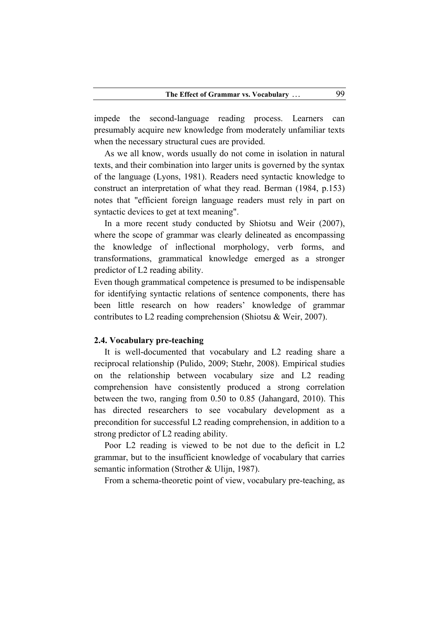impede the second-language reading process. Learners can presumably acquire new knowledge from moderately unfamiliar texts when the necessary structural cues are provided.

As we all know, words usually do not come in isolation in natural texts, and their combination into larger units is governed by the syntax of the language (Lyons, 1981). Readers need syntactic knowledge to construct an interpretation of what they read. Berman (1984, p.153) notes that "efficient foreign language readers must rely in part on syntactic devices to get at text meaning".

In a more recent study conducted by Shiotsu and Weir (2007), where the scope of grammar was clearly delineated as encompassing the knowledge of inflectional morphology, verb forms, and transformations, grammatical knowledge emerged as a stronger predictor of L2 reading ability.

Even though grammatical competence is presumed to be indispensable for identifying syntactic relations of sentence components, there has been little research on how readers' knowledge of grammar contributes to L2 reading comprehension (Shiotsu & Weir, 2007).

### **2.4. Vocabulary pre-teaching**

It is well-documented that vocabulary and L2 reading share a reciprocal relationship (Pulido, 2009; Stæhr, 2008). Empirical studies on the relationship between vocabulary size and L2 reading comprehension have consistently produced a strong correlation between the two, ranging from 0.50 to 0.85 (Jahangard, 2010). This has directed researchers to see vocabulary development as a precondition for successful L2 reading comprehension, in addition to a strong predictor of L2 reading ability.

Poor L2 reading is viewed to be not due to the deficit in L2 grammar, but to the insufficient knowledge of vocabulary that carries semantic information (Strother & Ulijn, 1987).

From a schema-theoretic point of view, vocabulary pre-teaching, as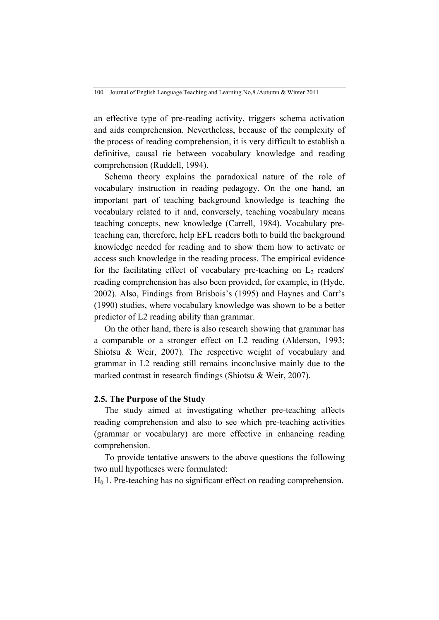an effective type of pre-reading activity, triggers schema activation and aids comprehension. Nevertheless, because of the complexity of the process of reading comprehension, it is very difficult to establish a definitive, causal tie between vocabulary knowledge and reading comprehension (Ruddell, 1994).

Schema theory explains the paradoxical nature of the role of vocabulary instruction in reading pedagogy. On the one hand, an important part of teaching background knowledge is teaching the vocabulary related to it and, conversely, teaching vocabulary means teaching concepts, new knowledge (Carrell, 1984). Vocabulary preteaching can, therefore, help EFL readers both to build the background knowledge needed for reading and to show them how to activate or access such knowledge in the reading process. The empirical evidence for the facilitating effect of vocabulary pre-teaching on  $L<sub>2</sub>$  readers' reading comprehension has also been provided, for example, in (Hyde, 2002). Also, Findings from Brisbois's (1995) and Haynes and Carr's (1990) studies, where vocabulary knowledge was shown to be a better predictor of L2 reading ability than grammar.

On the other hand, there is also research showing that grammar has a comparable or a stronger effect on L2 reading (Alderson, 1993; Shiotsu & Weir, 2007). The respective weight of vocabulary and grammar in L2 reading still remains inconclusive mainly due to the marked contrast in research findings (Shiotsu & Weir, 2007).

#### **2.5. The Purpose of the Study**

The study aimed at investigating whether pre-teaching affects reading comprehension and also to see which pre-teaching activities (grammar or vocabulary) are more effective in enhancing reading comprehension.

To provide tentative answers to the above questions the following two null hypotheses were formulated:

 $H<sub>0</sub>$  1. Pre-teaching has no significant effect on reading comprehension.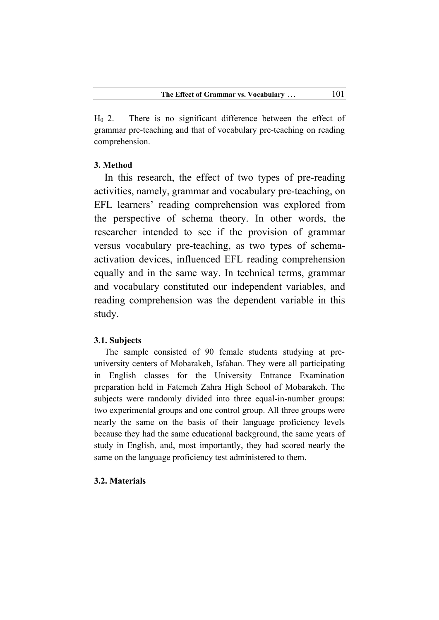$H<sub>0</sub>$  2. There is no significant difference between the effect of grammar pre-teaching and that of vocabulary pre-teaching on reading comprehension.

### **3. Method**

In this research, the effect of two types of pre-reading activities, namely, grammar and vocabulary pre-teaching, on EFL learners' reading comprehension was explored from the perspective of schema theory. In other words, the researcher intended to see if the provision of grammar versus vocabulary pre-teaching, as two types of schemaactivation devices, influenced EFL reading comprehension equally and in the same way. In technical terms, grammar and vocabulary constituted our independent variables, and reading comprehension was the dependent variable in this study.

### **3.1. Subjects**

The sample consisted of 90 female students studying at preuniversity centers of Mobarakeh, Isfahan. They were all participating in English classes for the University Entrance Examination preparation held in Fatemeh Zahra High School of Mobarakeh. The subjects were randomly divided into three equal-in-number groups: two experimental groups and one control group. All three groups were nearly the same on the basis of their language proficiency levels because they had the same educational background, the same years of study in English, and, most importantly, they had scored nearly the same on the language proficiency test administered to them.

### **3.2. Materials**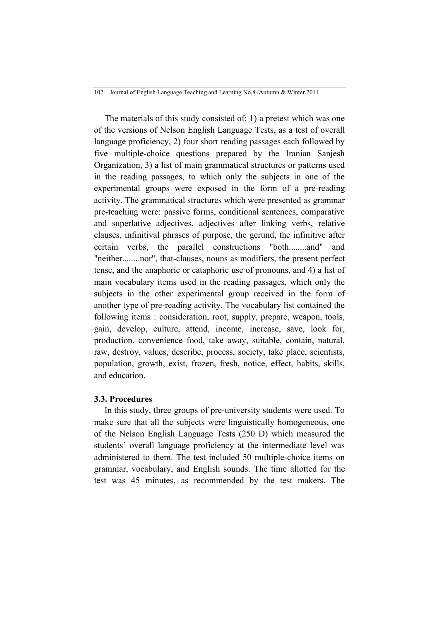The materials of this study consisted of: 1) a pretest which was one of the versions of Nelson English Language Tests, as a test of overall language proficiency, 2) four short reading passages each followed by five multiple-choice questions prepared by the Iranian Sanjesh Organization, 3) a list of main grammatical structures or patterns used in the reading passages, to which only the subjects in one of the experimental groups were exposed in the form of a pre-reading activity. The grammatical structures which were presented as grammar pre-teaching were: passive forms, conditional sentences, comparative and superlative adjectives, adjectives after linking verbs, relative clauses, infinitival phrases of purpose, the gerund, the infinitive after certain verbs, the parallel constructions "both........and" and "neither........nor", that-clauses, nouns as modifiers, the present perfect tense, and the anaphoric or cataphoric use of pronouns, and 4) a list of main vocabulary items used in the reading passages, which only the subjects in the other experimental group received in the form of another type of pre-reading activity. The vocabulary list contained the following items : consideration, root, supply, prepare, weapon, tools, gain, develop, culture, attend, income, increase, save, look for, production, convenience food, take away, suitable, contain, natural, raw, destroy, values, describe, process, society, take place, scientists, population, growth, exist, frozen, fresh, notice, effect, habits, skills, and education.

### **3.3. Procedures**

In this study, three groups of pre-university students were used. To make sure that all the subjects were linguistically homogeneous, one of the Nelson English Language Tests (250 D) which measured the students' overall language proficiency at the intermediate level was administered to them. The test included 50 multiple-choice items on grammar, vocabulary, and English sounds. The time allotted for the test was 45 minutes, as recommended by the test makers. The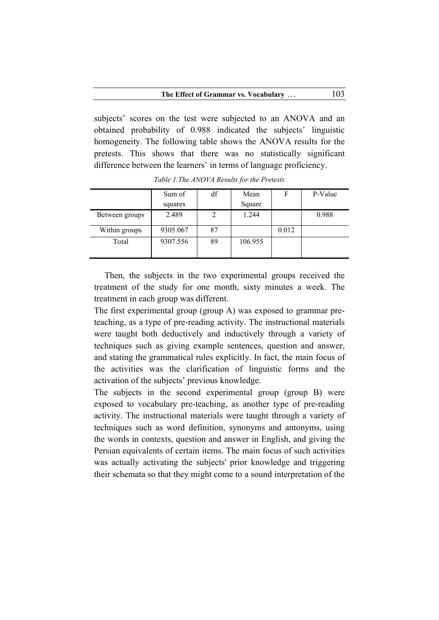subjects' scores on the test were subjected to an ANOVA and an obtained probability of 0.988 indicated the subjects' linguistic homogeneity. The following table shows the ANOVA results for the pretests. This shows that there was no statistically significant difference between the learners' in terms of language proficiency.

|                | Sum of   | df | Mean    |       | P-Value |
|----------------|----------|----|---------|-------|---------|
|                | squares  |    | Square  |       |         |
| Between groups | 2.489    |    | 1.244   |       | 0.988   |
| Within groups  | 9305.067 | 87 |         | 0.012 |         |
| Total          | 9307.556 | 89 | 106.955 |       |         |
|                |          |    |         |       |         |

*Table 1.The ANOVA Results for the Pretests*

Then, the subjects in the two experimental groups received the treatment of the study for one month, sixty minutes a week. The treatment in each group was different.

The first experimental group (group A) was exposed to grammar preteaching, as a type of pre-reading activity. The instructional materials were taught both deductively and inductively through a variety of techniques such as giving example sentences, question and answer, and stating the grammatical rules explicitly. In fact, the main focus of the activities was the clarification of linguistic forms and the activation of the subjects' previous knowledge.

The subjects in the second experimental group (group B) were exposed to vocabulary pre-teaching, as another type of pre-reading activity. The instructional materials were taught through a variety of techniques such as word definition, synonyms and antonyms, using the words in contexts, question and answer in English, and giving the Persian equivalents of certain items. The main focus of such activities was actually activating the subjects' prior knowledge and triggering their schemata so that they might come to a sound interpretation of the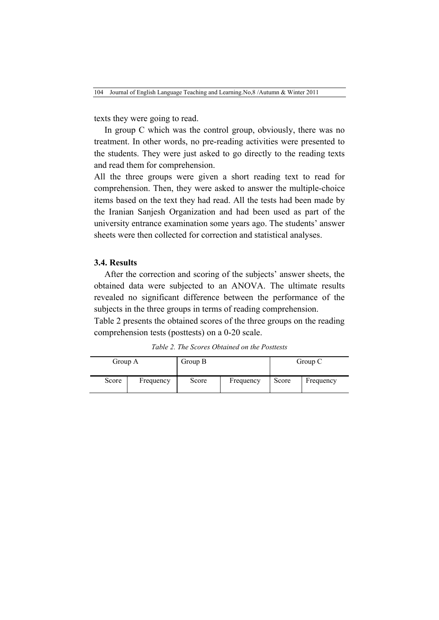texts they were going to read.

In group C which was the control group, obviously, there was no treatment. In other words, no pre-reading activities were presented to the students. They were just asked to go directly to the reading texts and read them for comprehension.

All the three groups were given a short reading text to read for comprehension. Then, they were asked to answer the multiple-choice items based on the text they had read. All the tests had been made by the Iranian Sanjesh Organization and had been used as part of the university entrance examination some years ago. The students' answer sheets were then collected for correction and statistical analyses.

#### **3.4. Results**

After the correction and scoring of the subjects' answer sheets, the obtained data were subjected to an ANOVA. The ultimate results revealed no significant difference between the performance of the subjects in the three groups in terms of reading comprehension.

Table 2 presents the obtained scores of the three groups on the reading comprehension tests (posttests) on a 0-20 scale.

*Table 2. The Scores Obtained on the Posttests*

| Group A |           | Group B |           | Group C |           |
|---------|-----------|---------|-----------|---------|-----------|
| Score   | Frequency | Score   | Frequency | Score   | Frequency |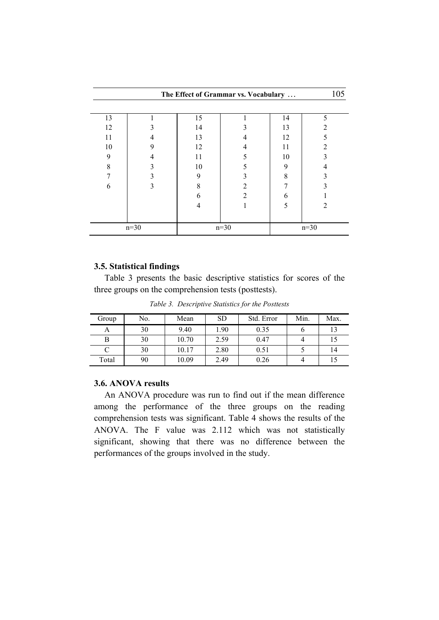| The Effect of Grammar vs. Vocabulary |   |    |        |        |                |  |  |  |
|--------------------------------------|---|----|--------|--------|----------------|--|--|--|
|                                      |   |    |        |        |                |  |  |  |
| 13                                   |   | 15 |        | 14     | 5              |  |  |  |
| 12                                   |   | 14 |        | 13     | 2              |  |  |  |
| 11                                   |   | 13 |        | 12     |                |  |  |  |
| 10                                   | 9 | 12 |        | 11     |                |  |  |  |
| 9                                    |   | 11 |        | 10     |                |  |  |  |
| 8                                    |   | 10 |        | 9      |                |  |  |  |
|                                      |   | 9  |        | 8      |                |  |  |  |
| 6                                    |   | 8  |        |        |                |  |  |  |
|                                      |   | 6  | っ      | 6      |                |  |  |  |
|                                      |   | 4  |        | 5      | $\mathfrak{D}$ |  |  |  |
|                                      |   |    |        |        |                |  |  |  |
| $n=30$                               |   |    | $n=30$ | $n=30$ |                |  |  |  |

### **3.5. Statistical findings**

Table 3 presents the basic descriptive statistics for scores of the three groups on the comprehension tests (posttests).

*Table 3. Descriptive Statistics for the Posttests*

| Group | No. | Mean  | <b>SD</b> | Std. Error | Min. | Max. |
|-------|-----|-------|-----------|------------|------|------|
| А     | 30  | 9.40  | 1.90      | 0.35       |      |      |
|       | 30  | 10.70 | 2.59      | 0.47       |      |      |
|       | 30  | 10.17 | 2.80      | 0.51       |      | 14   |
| Total | 90  | 10.09 | 2.49      | 0.26       |      |      |

## **3.6. ANOVA results**

An ANOVA procedure was run to find out if the mean difference among the performance of the three groups on the reading comprehension tests was significant. Table 4 shows the results of the ANOVA. The F value was 2.112 which was not statistically significant, showing that there was no difference between the performances of the groups involved in the study.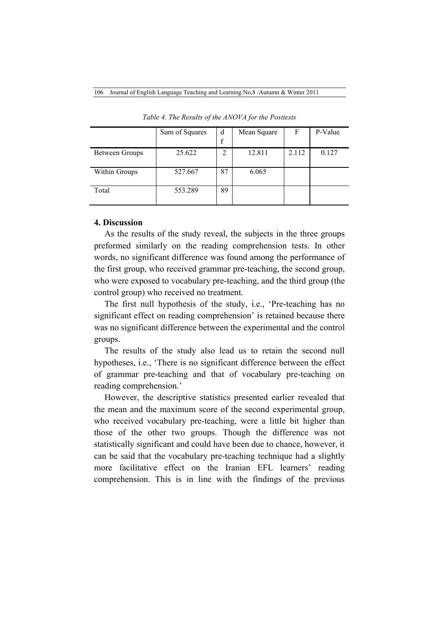|                | Sum of Squares | d           | Mean Square | F     | P-Value |
|----------------|----------------|-------------|-------------|-------|---------|
|                |                | $\mathbf f$ |             |       |         |
| Between Groups | 25.622         | 2           | 12.811      | 2.112 | 0.127   |
|                |                |             |             |       |         |
| Within Groups  | 527.667        | 87          | 6.065       |       |         |
|                |                |             |             |       |         |
| Total          | 553.289        | 89          |             |       |         |
|                |                |             |             |       |         |

*Table 4. The Results of the ANOVA for the Posttests*

### **4. Discussion**

As the results of the study reveal, the subjects in the three groups preformed similarly on the reading comprehension tests. In other words, no significant difference was found among the performance of the first group, who received grammar pre-teaching, the second group, who were exposed to vocabulary pre-teaching, and the third group (the control group) who received no treatment.

The first null hypothesis of the study, i.e., 'Pre-teaching has no significant effect on reading comprehension' is retained because there was no significant difference between the experimental and the control groups.

The results of the study also lead us to retain the second null hypotheses, i.e., 'There is no significant difference between the effect of grammar pre-teaching and that of vocabulary pre-teaching on reading comprehension.'

However, the descriptive statistics presented earlier revealed that the mean and the maximum score of the second experimental group, who received vocabulary pre-teaching, were a little bit higher than those of the other two groups. Though the difference was not statistically significant and could have been due to chance, however, it can be said that the vocabulary pre-teaching technique had a slightly more facilitative effect on the Iranian EFL learners' reading comprehension. This is in line with the findings of the previous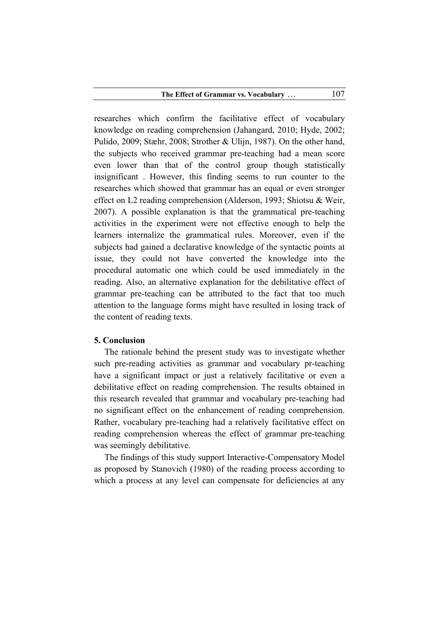researches which confirm the facilitative effect of vocabulary knowledge on reading comprehension (Jahangard, 2010; Hyde, 2002; Pulido, 2009; Stæhr, 2008; Strother & Ulijn, 1987). On the other hand, the subjects who received grammar pre-teaching had a mean score even lower than that of the control group though statistically insignificant . However, this finding seems to run counter to the researches which showed that grammar has an equal or even stronger effect on L2 reading comprehension (Alderson, 1993; Shiotsu & Weir, 2007). A possible explanation is that the grammatical pre-teaching activities in the experiment were not effective enough to help the learners internalize the grammatical rules. Moreover, even if the subjects had gained a declarative knowledge of the syntactic points at issue, they could not have converted the knowledge into the procedural automatic one which could be used immediately in the reading. Also, an alternative explanation for the debilitative effect of grammar pre-teaching can be attributed to the fact that too much attention to the language forms might have resulted in losing track of the content of reading texts.

### **5. Conclusion**

The rationale behind the present study was to investigate whether such pre-reading activities as grammar and vocabulary pr-teaching have a significant impact or just a relatively facilitative or even a debilitative effect on reading comprehension. The results obtained in this research revealed that grammar and vocabulary pre-teaching had no significant effect on the enhancement of reading comprehension. Rather, vocabulary pre-teaching had a relatively facilitative effect on reading comprehension whereas the effect of grammar pre-teaching was seemingly debilitative.

The findings of this study support Interactive-Compensatory Model as proposed by Stanovich (1980) of the reading process according to which a process at any level can compensate for deficiencies at any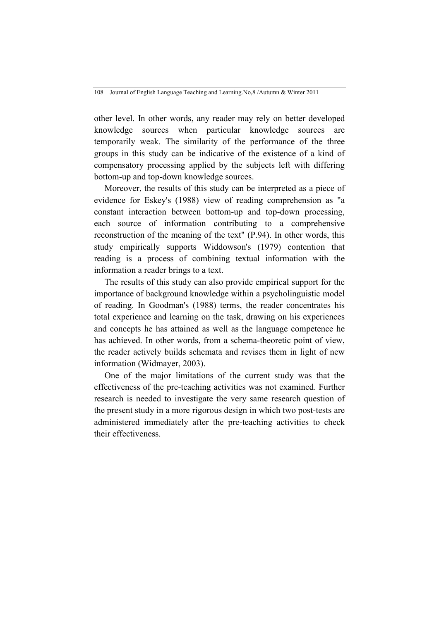other level. In other words, any reader may rely on better developed knowledge sources when particular knowledge sources are temporarily weak. The similarity of the performance of the three groups in this study can be indicative of the existence of a kind of compensatory processing applied by the subjects left with differing bottom-up and top-down knowledge sources.

Moreover, the results of this study can be interpreted as a piece of evidence for Eskey's (1988) view of reading comprehension as "a constant interaction between bottom-up and top-down processing, each source of information contributing to a comprehensive reconstruction of the meaning of the text" (P.94). In other words, this study empirically supports Widdowson's (1979) contention that reading is a process of combining textual information with the information a reader brings to a text.

The results of this study can also provide empirical support for the importance of background knowledge within a psycholinguistic model of reading. In Goodman's (1988) terms, the reader concentrates his total experience and learning on the task, drawing on his experiences and concepts he has attained as well as the language competence he has achieved. In other words, from a schema-theoretic point of view, the reader actively builds schemata and revises them in light of new information (Widmayer, 2003).

One of the major limitations of the current study was that the effectiveness of the pre-teaching activities was not examined. Further research is needed to investigate the very same research question of the present study in a more rigorous design in which two post-tests are administered immediately after the pre-teaching activities to check their effectiveness.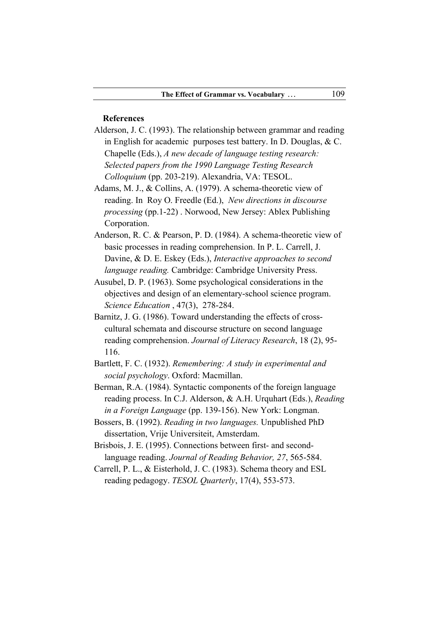#### **References**

- Alderson, J. C. (1993). The relationship between grammar and reading in English for academic purposes test battery. In D. Douglas, & C. Chapelle (Eds.), *A new decade of language testing research: Selected papers from the 1990 Language Testing Research Colloquium* (pp. 203-219). Alexandria, VA: TESOL.
- Adams, M. J., & Collins, A. (1979). A schema-theoretic view of reading. In Roy O. Freedle (Ed.), *New directions in discourse processing* (pp.1-22) . Norwood, New Jersey: Ablex Publishing Corporation.
- Anderson, R. C. & Pearson, P. D. (1984). A schema-theoretic view of basic processes in reading comprehension. In P. L. Carrell, J. Davine, & D. E. Eskey (Eds.), *Interactive approaches to second language reading.* Cambridge: Cambridge University Press.
- Ausubel, D. P. (1963). Some psychological considerations in the objectives and design of an elementary-school science program. *Science Education* , 47(3), 278-284.
- Barnitz, J. G. (1986). Toward understanding the effects of crosscultural schemata and discourse structure on second language reading comprehension. *Journal of Literacy Research*, 18 (2), 95- 116.
- Bartlett, F. C. (1932). *Remembering: A study in experimental and social psychology*. Oxford: Macmillan.
- Berman, R.A. (1984). Syntactic components of the foreign language reading process. In C.J. Alderson, & A.H. Urquhart (Eds.), *Reading in a Foreign Language* (pp. 139-156). New York: Longman.
- Bossers, B. (1992). *Reading in two languages.* Unpublished PhD dissertation, Vrije Universiteit, Amsterdam.
- Brisbois, J. E. (1995). Connections between first- and secondlanguage reading. *Journal of Reading Behavior, 27*, 565-584.
- Carrell, P. L., & Eisterhold, J. C. (1983). Schema theory and ESL reading pedagogy. *TESOL Quarterly*, 17(4), 553-573.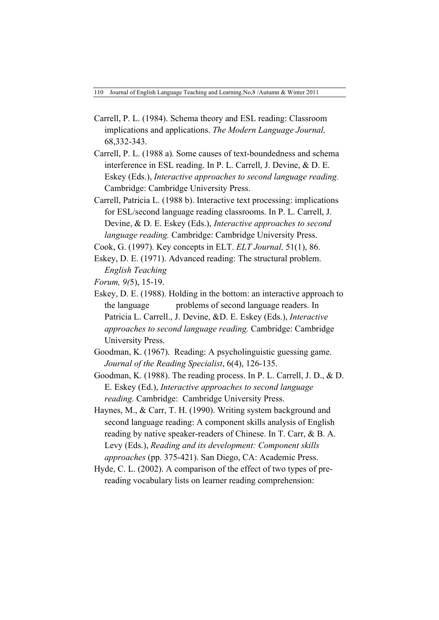- Carrell, P. L. (1984). Schema theory and ESL reading: Classroom implications and applications. *The Modern Language Journal,* 68,332-343.
- Carrell, P. L. (1988 a). Some causes of text-boundedness and schema interference in ESL reading. In P. L. Carrell, J. Devine, & D. E. Eskey (Eds.), *Interactive approaches to second language reading.* Cambridge: Cambridge University Press.
- Carrell, Patricia L. (1988 b). Interactive text processing: implications for ESL/second language reading classrooms. In P. L. Carrell, J. Devine, & D. E. Eskey (Eds.), *Interactive approaches to second language reading.* Cambridge: Cambridge University Press.

Cook, G. (1997). Key concepts in ELT. *ELT Journal,* 51(1), 86.

- Eskey, D. E. (1971). Advanced reading: The structural problem. *English Teaching*
- *Forum, 9(*5), 15-19.
- Eskey, D. E. (1988). Holding in the bottom: an interactive approach to the language problems of second language readers. In Patricia L. Carrell., J. Devine, &D. E. Eskey (Eds.), *Interactive approaches to second language reading.* Cambridge: Cambridge University Press.
- Goodman, K. (1967). Reading: A psycholinguistic guessing game. *Journal of the Reading Specialist*, 6(4), 126-135.
- Goodman, K. (1988). The reading process. In P. L. Carrell, J. D., & D. E. Eskey (Ed.), *Interactive approaches to second language reading.* Cambridge: Cambridge University Press.
- Haynes, M., & Carr, T. H. (1990). Writing system background and second language reading: A component skills analysis of English reading by native speaker-readers of Chinese. In T. Carr, & B. A. Levy (Eds.), *Reading and its development: Component skills approaches* (pp. 375-421). San Diego, CA: Academic Press.
- Hyde, C. L. (2002). A comparison of the effect of two types of prereading vocabulary lists on learner reading comprehension: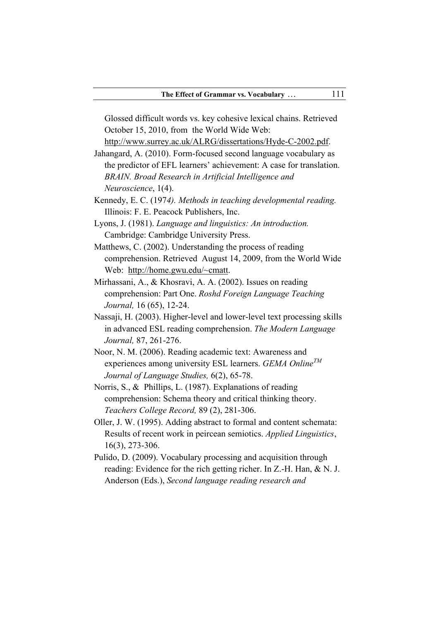Glossed difficult words vs. key cohesive lexical chains. Retrieved October 15, 2010, from the World Wide Web:

http://www.surrey.ac.uk/ALRG/dissertations/Hyde-C-2002.pdf.

- Jahangard, A. (2010). Form-focused second language vocabulary as the predictor of EFL learners' achievement: A case for translation. *BRAIN. Broad Research in Artificial Intelligence and Neuroscience*, 1(4).
- Kennedy, E. C. (197*4). Methods in teaching developmental reading.*  Illinois: F. E. Peacock Publishers, Inc.
- Lyons, J. (1981). *Language and linguistics: An introduction.*  Cambridge: Cambridge University Press.
- Matthews, C. (2002). Understanding the process of reading comprehension. Retrieved August 14, 2009, from the World Wide Web: http://home.gwu.edu/~cmatt.
- Mirhassani, A., & Khosravi, A. A. (2002). Issues on reading comprehension: Part One. *Roshd Foreign Language Teaching Journal,* 16 (65), 12-24.
- Nassaji, H. (2003). Higher-level and lower-level text processing skills in advanced ESL reading comprehension. *The Modern Language Journal,* 87, 261-276.
- Noor, N. M. (2006). Reading academic text: Awareness and experiences among university ESL learners. *GEMA OnlineTM Journal of Language Studies,* 6(2), 65-78.
- Norris, S., & Phillips, L. (1987). Explanations of reading comprehension: Schema theory and critical thinking theory. *Teachers College Record,* 89 (2), 281-306.
- Oller, J. W. (1995). Adding abstract to formal and content schemata: Results of recent work in peircean semiotics. *Applied Linguistics*, 16(3), 273-306.
- Pulido, D. (2009). Vocabulary processing and acquisition through reading: Evidence for the rich getting richer. In Z.-H. Han, & N. J. Anderson (Eds.), *Second language reading research and*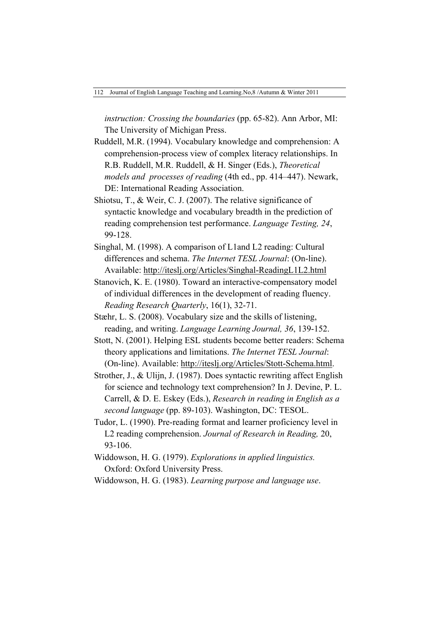*instruction: Crossing the boundaries* (pp. 65-82). Ann Arbor, MI: The University of Michigan Press.

- Ruddell, M.R. (1994). Vocabulary knowledge and comprehension: A comprehension-process view of complex literacy relationships. In R.B. Ruddell, M.R. Ruddell, & H. Singer (Eds.), *Theoretical models and processes of reading* (4th ed., pp. 414–447). Newark, DE: International Reading Association.
- Shiotsu, T., & Weir, C. J. (2007). The relative significance of syntactic knowledge and vocabulary breadth in the prediction of reading comprehension test performance. *Language Testing, 24*, 99-128.
- Singhal, M. (1998). A comparison of L1and L2 reading: Cultural differences and schema. *The Internet TESL Journal*: (On-line). Available: http://iteslj.org/Articles/Singhal-ReadingL1L2.html
- Stanovich, K. E. (1980). Toward an interactive-compensatory model of individual differences in the development of reading fluency. *Reading Research Quarterly*, 16(1), 32-71.
- Stæhr, L. S. (2008). Vocabulary size and the skills of listening, reading, and writing. *Language Learning Journal, 36*, 139-152.
- Stott, N. (2001). Helping ESL students become better readers: Schema theory applications and limitations. *The Internet TESL Journal*: (On-line). Available: http://iteslj.org/Articles/Stott-Schema.html.
- Strother, J., & Ulijn, J. (1987). Does syntactic rewriting affect English for science and technology text comprehension? In J. Devine, P. L. Carrell, & D. E. Eskey (Eds.), *Research in reading in English as a second language* (pp. 89-103). Washington, DC: TESOL.
- Tudor, L. (1990). Pre-reading format and learner proficiency level in L2 reading comprehension. *Journal of Research in Reading,* 20, 93-106.
- Widdowson, H. G. (1979). *Explorations in applied linguistics.* Oxford: Oxford University Press.

Widdowson, H. G. (1983). *Learning purpose and language use*.